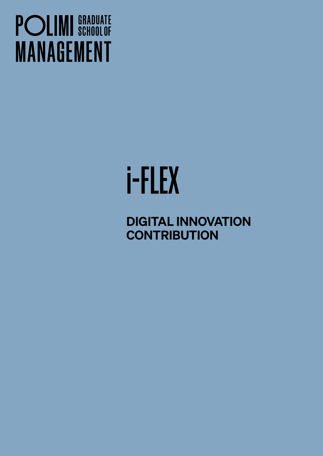## **POLIMI** SCHOOLOF **MANAGEMENT**

# i-FLEX

DIGITAL INNOVATION **CONTRIBUTION**